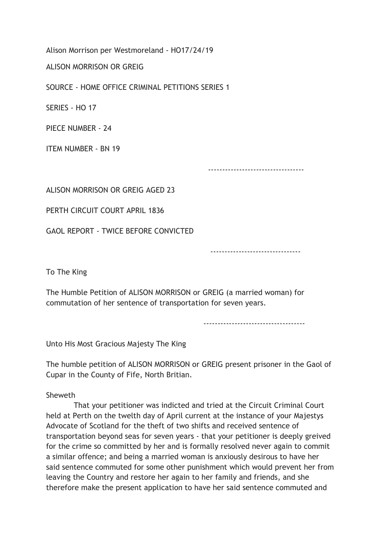Alison Morrison per Westmoreland - HO17/24/19

ALISON MORRISON OR GREIG

SOURCE - HOME OFFICE CRIMINAL PETITIONS SERIES 1

SERIES - HO 17

PIECE NUMBER - 24

ITEM NUMBER - BN 19

----------------------------------

ALISON MORRISON OR GREIG AGED 23

PERTH CIRCUIT COURT APRIL 1836

GAOL REPORT - TWICE BEFORE CONVICTED

--------------------------------

To The King

The Humble Petition of ALISON MORRISON or GREIG (a married woman) for commutation of her sentence of transportation for seven years.

------------------------------------

Unto His Most Gracious Majesty The King

The humble petition of ALISON MORRISON or GREIG present prisoner in the Gaol of Cupar in the County of Fife, North Britian.

Sheweth

 That your petitioner was indicted and tried at the Circuit Criminal Court held at Perth on the twelth day of April current at the instance of your Majestys Advocate of Scotland for the theft of two shifts and received sentence of transportation beyond seas for seven years - that your petitioner is deeply greived for the crime so committed by her and is formally resolved never again to commit a similar offence; and being a married woman is anxiously desirous to have her said sentence commuted for some other punishment which would prevent her from leaving the Country and restore her again to her family and friends, and she therefore make the present application to have her said sentence commuted and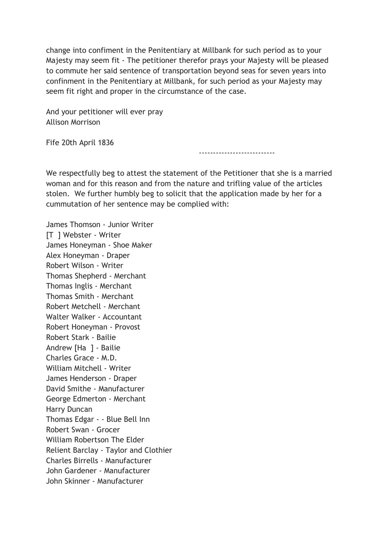change into confiment in the Penitentiary at Millbank for such period as to your Majesty may seem fit - The petitioner therefor prays your Majesty will be pleased to commute her said sentence of transportation beyond seas for seven years into confinment in the Penitentiary at Millbank, for such period as your Majesty may seem fit right and proper in the circumstance of the case.

And your petitioner will ever pray Allison Morrison

Fife 20th April 1836

---------------------------

We respectfully beg to attest the statement of the Petitioner that she is a married woman and for this reason and from the nature and trifling value of the articles stolen. We further humbly beg to solicit that the application made by her for a cummutation of her sentence may be complied with:

James Thomson - Junior Writer [T ] Webster - Writer James Honeyman - Shoe Maker Alex Honeyman - Draper Robert Wilson - Writer Thomas Shepherd - Merchant Thomas Inglis - Merchant Thomas Smith - Merchant Robert Metchell - Merchant Walter Walker - Accountant Robert Honeyman - Provost Robert Stark - Bailie Andrew [Ha ] - Bailie Charles Grace - M.D. William Mitchell - Writer James Henderson - Draper David Smithe - Manufacturer George Edmerton - Merchant Harry Duncan Thomas Edgar - - Blue Bell Inn Robert Swan - Grocer William Robertson The Elder Relient Barclay - Taylor and Clothier Charles Birrells - Manufacturer John Gardener - Manufacturer John Skinner - Manufacturer